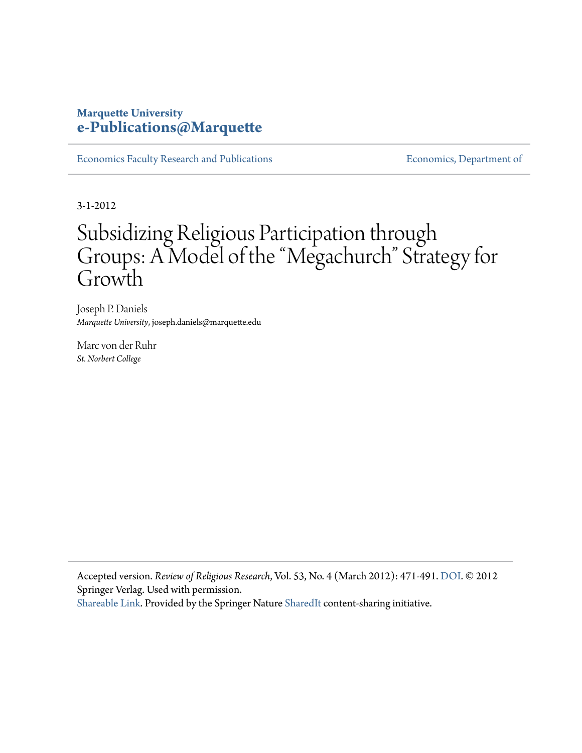## **Marquette University [e-Publications@Marquette](https://epublications.marquette.edu)**

[Economics Faculty Research and Publications](https://epublications.marquette.edu/econ_fac) **Economics**, Department of

3-1-2012

# Subsidizing Religious Participation through Groups: A Model of the "Megachurch" Strategy for Growth

Joseph P. Daniels *Marquette University*, joseph.daniels@marquette.edu

Marc von der Ruhr *St. Norbert College*

Accepted version. *Review of Religious Research*, Vol. 53, No. 4 (March 2012): 471-491. [DOI](http://dx.doi.org/10.1007/s13644-011-0024-3). © 2012 Springer Verlag. Used with permission.

[Shareable Link.](https://rdcu.be/3vO6) Provided by the Springer Nature [SharedIt](https://www.springernature.com/sharedit) content-sharing initiative.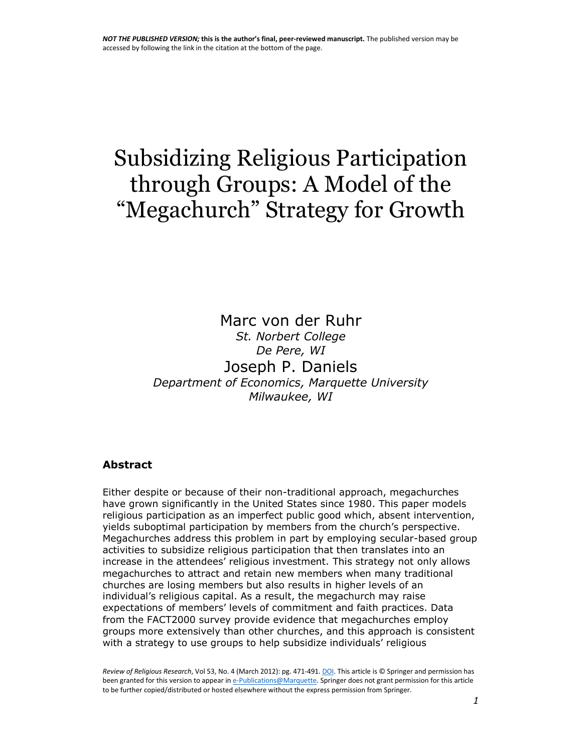# Subsidizing Religious Participation through Groups: A Model of the "Megachurch" Strategy for Growth

Marc von der Ruhr *St. Norbert College De Pere, WI* Joseph P. Daniels *Department of Economics, Marquette University Milwaukee, WI*

#### **Abstract**

Either despite or because of their non-traditional approach, megachurches have grown significantly in the United States since 1980. This paper models religious participation as an imperfect public good which, absent intervention, yields suboptimal participation by members from the church's perspective. Megachurches address this problem in part by employing secular-based group activities to subsidize religious participation that then translates into an increase in the attendees' religious investment. This strategy not only allows megachurches to attract and retain new members when many traditional churches are losing members but also results in higher levels of an individual's religious capital. As a result, the megachurch may raise expectations of members' levels of commitment and faith practices. Data from the FACT2000 survey provide evidence that megachurches employ groups more extensively than other churches, and this approach is consistent with a strategy to use groups to help subsidize individuals' religious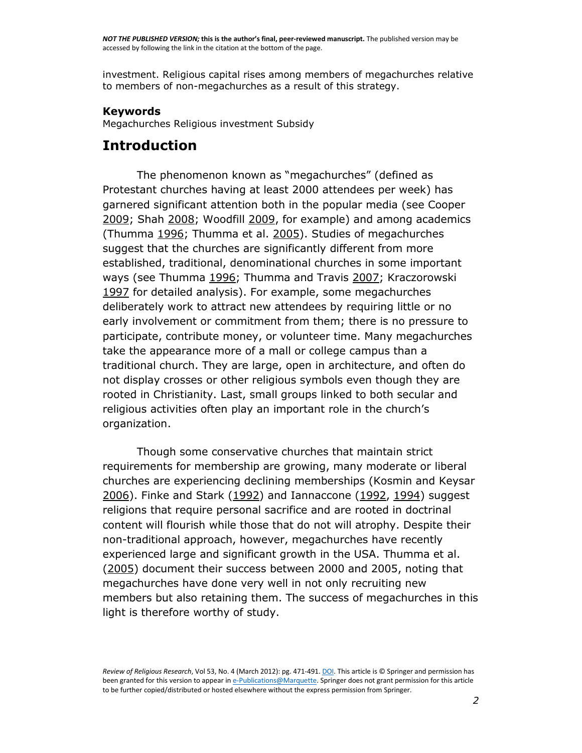investment. Religious capital rises among members of megachurches relative to members of non-megachurches as a result of this strategy.

#### **Keywords**

Megachurches Religious investment Subsidy

## **Introduction**

The phenomenon known as "megachurches" (defined as Protestant churches having at least 2000 attendees per week) has garnered significant attention both in the popular media (see Cooper [2009;](http://link.springer.com/article/10.1007/s13644-011-0024-3/fulltext.html#CR4) Shah [2008;](http://link.springer.com/article/10.1007/s13644-011-0024-3/fulltext.html#CR19) Woodfill [2009,](http://link.springer.com/article/10.1007/s13644-011-0024-3/fulltext.html#CR26) for example) and among academics (Thumma [1996;](http://link.springer.com/article/10.1007/s13644-011-0024-3/fulltext.html#CR21) Thumma et al. [2005\)](http://link.springer.com/article/10.1007/s13644-011-0024-3/fulltext.html#CR22). Studies of megachurches suggest that the churches are significantly different from more established, traditional, denominational churches in some important ways (see Thumma [1996;](http://link.springer.com/article/10.1007/s13644-011-0024-3/fulltext.html#CR21) Thumma and Travis [2007;](http://link.springer.com/article/10.1007/s13644-011-0024-3/fulltext.html#CR23) Kraczorowski [1997](http://link.springer.com/article/10.1007/s13644-011-0024-3/fulltext.html#CR13) for detailed analysis). For example, some megachurches deliberately work to attract new attendees by requiring little or no early involvement or commitment from them; there is no pressure to participate, contribute money, or volunteer time. Many megachurches take the appearance more of a mall or college campus than a traditional church. They are large, open in architecture, and often do not display crosses or other religious symbols even though they are rooted in Christianity. Last, small groups linked to both secular and religious activities often play an important role in the church's organization.

Though some conservative churches that maintain strict requirements for membership are growing, many moderate or liberal churches are experiencing declining memberships (Kosmin and Keysar [2006\)](http://link.springer.com/article/10.1007/s13644-011-0024-3/fulltext.html#CR12). Finke and Stark [\(1992\)](http://link.springer.com/article/10.1007/s13644-011-0024-3/fulltext.html#CR7) and Iannaccone [\(1992,](http://link.springer.com/article/10.1007/s13644-011-0024-3/fulltext.html#CR9) [1994\)](http://link.springer.com/article/10.1007/s13644-011-0024-3/fulltext.html#CR10) suggest religions that require personal sacrifice and are rooted in doctrinal content will flourish while those that do not will atrophy. Despite their non-traditional approach, however, megachurches have recently experienced large and significant growth in the USA. Thumma et al. [\(2005\)](http://link.springer.com/article/10.1007/s13644-011-0024-3/fulltext.html#CR22) document their success between 2000 and 2005, noting that megachurches have done very well in not only recruiting new members but also retaining them. The success of megachurches in this light is therefore worthy of study.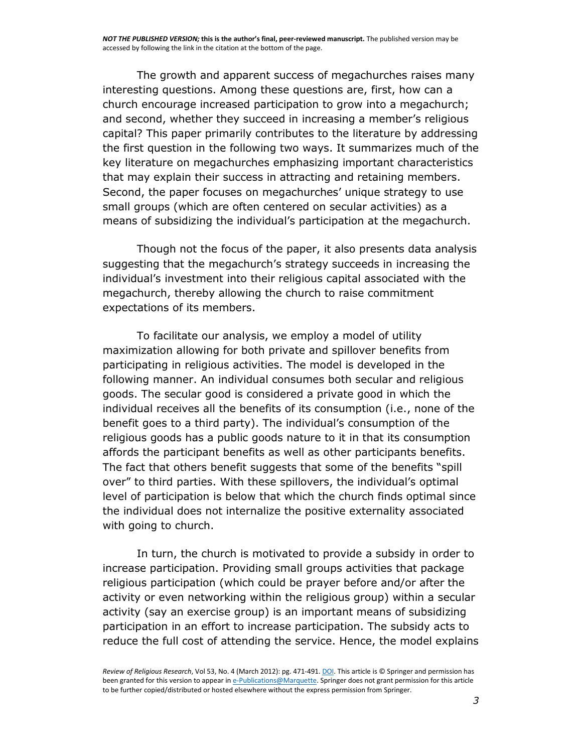The growth and apparent success of megachurches raises many interesting questions. Among these questions are, first, how can a church encourage increased participation to grow into a megachurch; and second, whether they succeed in increasing a member's religious capital? This paper primarily contributes to the literature by addressing the first question in the following two ways. It summarizes much of the key literature on megachurches emphasizing important characteristics that may explain their success in attracting and retaining members. Second, the paper focuses on megachurches' unique strategy to use small groups (which are often centered on secular activities) as a means of subsidizing the individual's participation at the megachurch.

Though not the focus of the paper, it also presents data analysis suggesting that the megachurch's strategy succeeds in increasing the individual's investment into their religious capital associated with the megachurch, thereby allowing the church to raise commitment expectations of its members.

To facilitate our analysis, we employ a model of utility maximization allowing for both private and spillover benefits from participating in religious activities. The model is developed in the following manner. An individual consumes both secular and religious goods. The secular good is considered a private good in which the individual receives all the benefits of its consumption (i.e., none of the benefit goes to a third party). The individual's consumption of the religious goods has a public goods nature to it in that its consumption affords the participant benefits as well as other participants benefits. The fact that others benefit suggests that some of the benefits "spill over" to third parties. With these spillovers, the individual's optimal level of participation is below that which the church finds optimal since the individual does not internalize the positive externality associated with going to church.

In turn, the church is motivated to provide a subsidy in order to increase participation. Providing small groups activities that package religious participation (which could be prayer before and/or after the activity or even networking within the religious group) within a secular activity (say an exercise group) is an important means of subsidizing participation in an effort to increase participation. The subsidy acts to reduce the full cost of attending the service. Hence, the model explains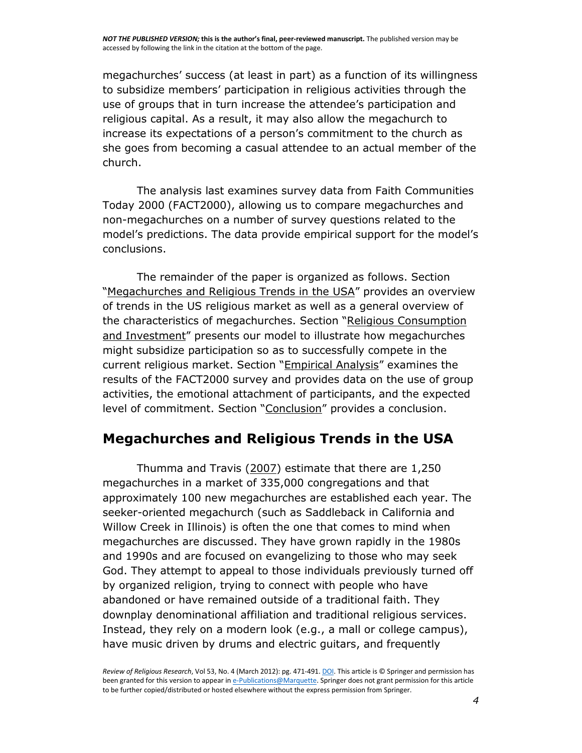megachurches' success (at least in part) as a function of its willingness to subsidize members' participation in religious activities through the use of groups that in turn increase the attendee's participation and religious capital. As a result, it may also allow the megachurch to increase its expectations of a person's commitment to the church as she goes from becoming a casual attendee to an actual member of the church.

The analysis last examines survey data from Faith Communities Today 2000 (FACT2000), allowing us to compare megachurches and non-megachurches on a number of survey questions related to the model's predictions. The data provide empirical support for the model's conclusions.

The remainder of the paper is organized as follows. Section "[Megachurches and Religious Trends in the USA](http://link.springer.com/article/10.1007/s13644-011-0024-3/fulltext.html#Sec2)" provides an overview of trends in the US religious market as well as a general overview of the characteristics of megachurches. Section "[Religious Consumption](http://link.springer.com/article/10.1007/s13644-011-0024-3/fulltext.html#Sec5)  [and Investment](http://link.springer.com/article/10.1007/s13644-011-0024-3/fulltext.html#Sec5)" presents our model to illustrate how megachurches might subsidize participation so as to successfully compete in the current religious market. Section "[Empirical Analysis](http://link.springer.com/article/10.1007/s13644-011-0024-3/fulltext.html#Sec8)" examines the results of the FACT2000 survey and provides data on the use of group activities, the emotional attachment of participants, and the expected level of commitment. Section "[Conclusion](http://link.springer.com/article/10.1007/s13644-011-0024-3/fulltext.html#Sec9)" provides a conclusion.

#### **Megachurches and Religious Trends in the USA**

Thumma and Travis [\(2007\)](http://link.springer.com/article/10.1007/s13644-011-0024-3/fulltext.html#CR23) estimate that there are 1,250 megachurches in a market of 335,000 congregations and that approximately 100 new megachurches are established each year. The seeker-oriented megachurch (such as Saddleback in California and Willow Creek in Illinois) is often the one that comes to mind when megachurches are discussed. They have grown rapidly in the 1980s and 1990s and are focused on evangelizing to those who may seek God. They attempt to appeal to those individuals previously turned off by organized religion, trying to connect with people who have abandoned or have remained outside of a traditional faith. They downplay denominational affiliation and traditional religious services. Instead, they rely on a modern look (e.g., a mall or college campus), have music driven by drums and electric guitars, and frequently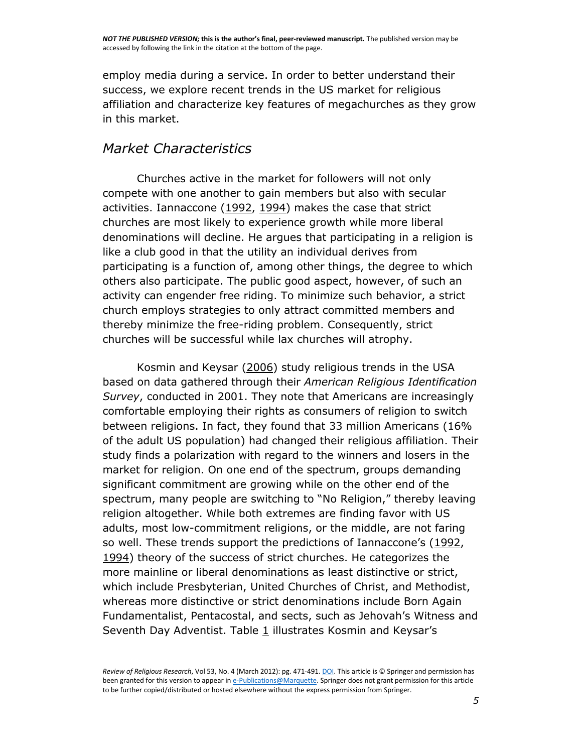employ media during a service. In order to better understand their success, we explore recent trends in the US market for religious affiliation and characterize key features of megachurches as they grow in this market.

## *Market Characteristics*

Churches active in the market for followers will not only compete with one another to gain members but also with secular activities. Iannaccone [\(1992,](http://link.springer.com/article/10.1007/s13644-011-0024-3/fulltext.html#CR9) [1994\)](http://link.springer.com/article/10.1007/s13644-011-0024-3/fulltext.html#CR10) makes the case that strict churches are most likely to experience growth while more liberal denominations will decline. He argues that participating in a religion is like a club good in that the utility an individual derives from participating is a function of, among other things, the degree to which others also participate. The public good aspect, however, of such an activity can engender free riding. To minimize such behavior, a strict church employs strategies to only attract committed members and thereby minimize the free-riding problem. Consequently, strict churches will be successful while lax churches will atrophy.

Kosmin and Keysar [\(2006\)](http://link.springer.com/article/10.1007/s13644-011-0024-3/fulltext.html#CR12) study religious trends in the USA based on data gathered through their *American Religious Identification Survey*, conducted in 2001. They note that Americans are increasingly comfortable employing their rights as consumers of religion to switch between religions. In fact, they found that 33 million Americans (16% of the adult US population) had changed their religious affiliation. Their study finds a polarization with regard to the winners and losers in the market for religion. On one end of the spectrum, groups demanding significant commitment are growing while on the other end of the spectrum, many people are switching to "No Religion," thereby leaving religion altogether. While both extremes are finding favor with US adults, most low-commitment religions, or the middle, are not faring so well. These trends support the predictions of Iannaccone's ([1992,](http://link.springer.com/article/10.1007/s13644-011-0024-3/fulltext.html#CR9) [1994\)](http://link.springer.com/article/10.1007/s13644-011-0024-3/fulltext.html#CR10) theory of the success of strict churches. He categorizes the more mainline or liberal denominations as least distinctive or strict, which include Presbyterian, United Churches of Christ, and Methodist, whereas more distinctive or strict denominations include Born Again Fundamentalist, Pentacostal, and sects, such as Jehovah's Witness and Seventh Day Adventist. Table  $1$  illustrates Kosmin and Keysar's

*Review of Religious Research*, Vol 53, No. 4 (March 2012): pg. 471-491[. DOI.](http://dx.doi.org/10.1007/s13644-011-0024-3) This article is © Springer and permission has been granted for this version to appear i[n e-Publications@Marquette.](http://epublications.marquette.edu/) Springer does not grant permission for this article to be further copied/distributed or hosted elsewhere without the express permission from Springer.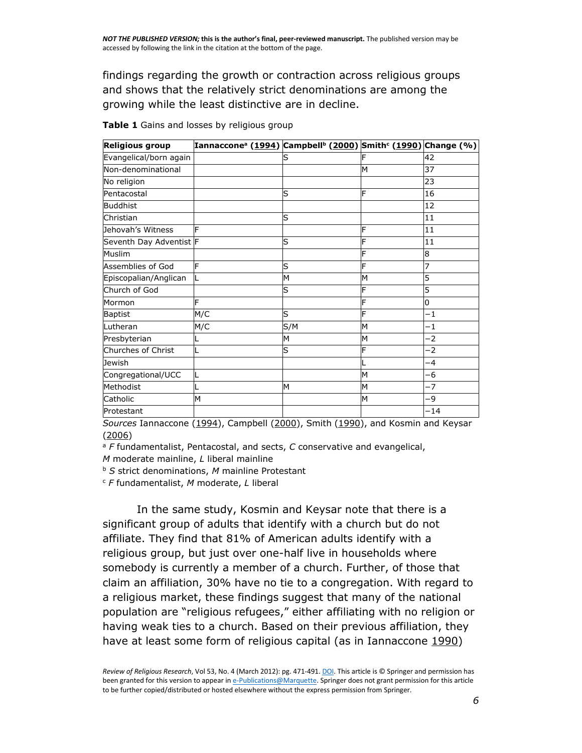findings regarding the growth or contraction across religious groups and shows that the relatively strict denominations are among the growing while the least distinctive are in decline.

| <b>Religious group</b>  | Iannaccone <sup>a</sup> (1994) Campbell <sup>b</sup> (2000) Smith <sup>c</sup> (1990) Change (%) |     |   |              |
|-------------------------|--------------------------------------------------------------------------------------------------|-----|---|--------------|
| Evangelical/born again  |                                                                                                  | S   |   | 42           |
| Non-denominational      |                                                                                                  |     | M | 37           |
| No religion             |                                                                                                  |     |   | 23           |
| Pentacostal             |                                                                                                  | S   | F | 16           |
| Buddhist                |                                                                                                  |     |   | 12           |
| Christian               |                                                                                                  | S   |   | 11           |
| Jehovah's Witness       | F                                                                                                |     |   | 11           |
| Seventh Day Adventist F |                                                                                                  | S   | F | 11           |
| Muslim                  |                                                                                                  |     | F | 8            |
| Assemblies of God       | F                                                                                                | S   | F | 7            |
| Episcopalian/Anglican   |                                                                                                  | M   | M | 5            |
| Church of God           |                                                                                                  | S   | F | 5            |
| Mormon                  | F                                                                                                |     | F | <sup>o</sup> |
| <b>Baptist</b>          | M/C                                                                                              | S   | F | $-1$         |
| Lutheran                | M/C                                                                                              | S/M | M | $-1$         |
| Presbyterian            |                                                                                                  | M   | M | $-2$         |
| Churches of Christ      |                                                                                                  | S   | F | $-2$         |
| <b>Jewish</b>           |                                                                                                  |     |   | $-4$         |
| Congregational/UCC      | L                                                                                                |     | M | -6           |
| Methodist               |                                                                                                  | M   | M | $-7$         |
| Catholic                | M                                                                                                |     | M | -9           |
| Protestant              |                                                                                                  |     |   | $-14$        |

**Table 1** Gains and losses by religious group

*Sources* Iannaccone [\(1994\)](http://link.springer.com/article/10.1007/s13644-011-0024-3/fulltext.html#CR10), Campbell [\(2000\)](http://link.springer.com/article/10.1007/s13644-011-0024-3/fulltext.html#CR2), Smith [\(1990\)](http://link.springer.com/article/10.1007/s13644-011-0024-3/fulltext.html#CR20), and Kosmin and Keysar [\(2006\)](http://link.springer.com/article/10.1007/s13644-011-0024-3/fulltext.html#CR12)

<sup>a</sup> *F* fundamentalist, Pentacostal, and sects, *C* conservative and evangelical, *M* moderate mainline, *L* liberal mainline

<sup>b</sup> *S* strict denominations, *M* mainline Protestant

<sup>c</sup> *F* fundamentalist, *M* moderate, *L* liberal

In the same study, Kosmin and Keysar note that there is a significant group of adults that identify with a church but do not affiliate. They find that 81% of American adults identify with a religious group, but just over one-half live in households where somebody is currently a member of a church. Further, of those that claim an affiliation, 30% have no tie to a congregation. With regard to a religious market, these findings suggest that many of the national population are "religious refugees," either affiliating with no religion or having weak ties to a church. Based on their previous affiliation, they have at least some form of religious capital (as in Iannaccone [1990\)](http://link.springer.com/article/10.1007/s13644-011-0024-3/fulltext.html#CR8)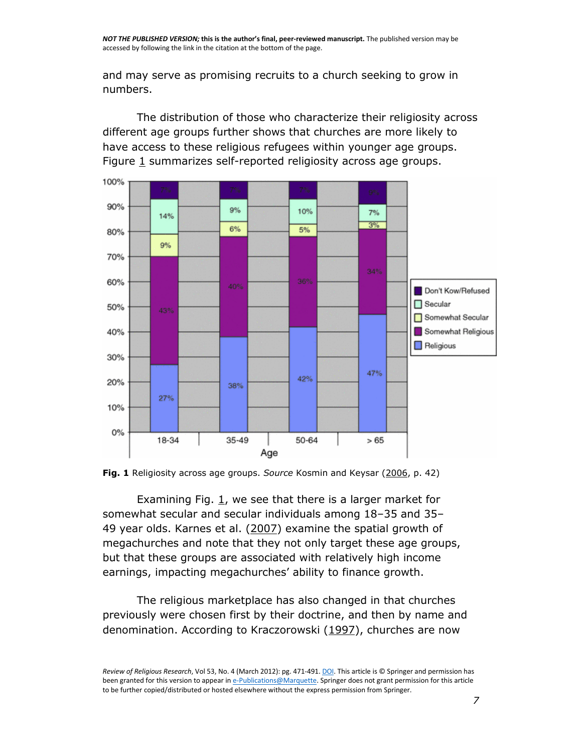and may serve as promising recruits to a church seeking to grow in numbers.

The distribution of those who characterize their religiosity across different age groups further shows that churches are more likely to have access to these religious refugees within younger age groups. Figure  $1$  summarizes self-reported religiosity across age groups.





Examining Fig. [1,](http://link.springer.com/article/10.1007/s13644-011-0024-3/fulltext.html#Fig1) we see that there is a larger market for somewhat secular and secular individuals among 18–35 and 35– 49 year olds. Karnes et al. [\(2007\)](http://link.springer.com/article/10.1007/s13644-011-0024-3/fulltext.html#CR11) examine the spatial growth of megachurches and note that they not only target these age groups, but that these groups are associated with relatively high income earnings, impacting megachurches' ability to finance growth.

The religious marketplace has also changed in that churches previously were chosen first by their doctrine, and then by name and denomination. According to Kraczorowski [\(1997\)](http://link.springer.com/article/10.1007/s13644-011-0024-3/fulltext.html#CR13), churches are now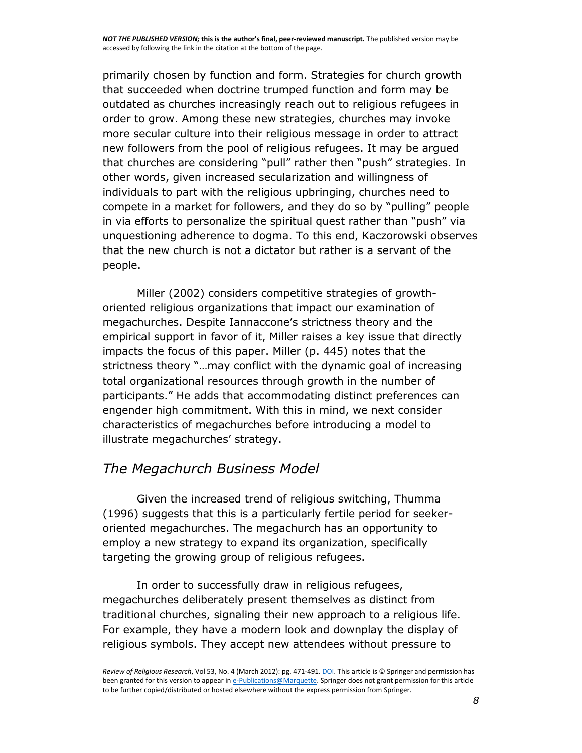primarily chosen by function and form. Strategies for church growth that succeeded when doctrine trumped function and form may be outdated as churches increasingly reach out to religious refugees in order to grow. Among these new strategies, churches may invoke more secular culture into their religious message in order to attract new followers from the pool of religious refugees. It may be argued that churches are considering "pull" rather then "push" strategies. In other words, given increased secularization and willingness of individuals to part with the religious upbringing, churches need to compete in a market for followers, and they do so by "pulling" people in via efforts to personalize the spiritual quest rather than "push" via unquestioning adherence to dogma. To this end, Kaczorowski observes that the new church is not a dictator but rather is a servant of the people.

Miller [\(2002\)](http://link.springer.com/article/10.1007/s13644-011-0024-3/fulltext.html#CR14) considers competitive strategies of growthoriented religious organizations that impact our examination of megachurches. Despite Iannaccone's strictness theory and the empirical support in favor of it, Miller raises a key issue that directly impacts the focus of this paper. Miller (p. 445) notes that the strictness theory "…may conflict with the dynamic goal of increasing total organizational resources through growth in the number of participants." He adds that accommodating distinct preferences can engender high commitment. With this in mind, we next consider characteristics of megachurches before introducing a model to illustrate megachurches' strategy.

## *The Megachurch Business Model*

Given the increased trend of religious switching, Thumma [\(1996\)](http://link.springer.com/article/10.1007/s13644-011-0024-3/fulltext.html#CR21) suggests that this is a particularly fertile period for seekeroriented megachurches. The megachurch has an opportunity to employ a new strategy to expand its organization, specifically targeting the growing group of religious refugees.

In order to successfully draw in religious refugees, megachurches deliberately present themselves as distinct from traditional churches, signaling their new approach to a religious life. For example, they have a modern look and downplay the display of religious symbols. They accept new attendees without pressure to

*Review of Religious Research*, Vol 53, No. 4 (March 2012): pg. 471-491[. DOI.](http://dx.doi.org/10.1007/s13644-011-0024-3) This article is © Springer and permission has been granted for this version to appear i[n e-Publications@Marquette.](http://epublications.marquette.edu/) Springer does not grant permission for this article to be further copied/distributed or hosted elsewhere without the express permission from Springer.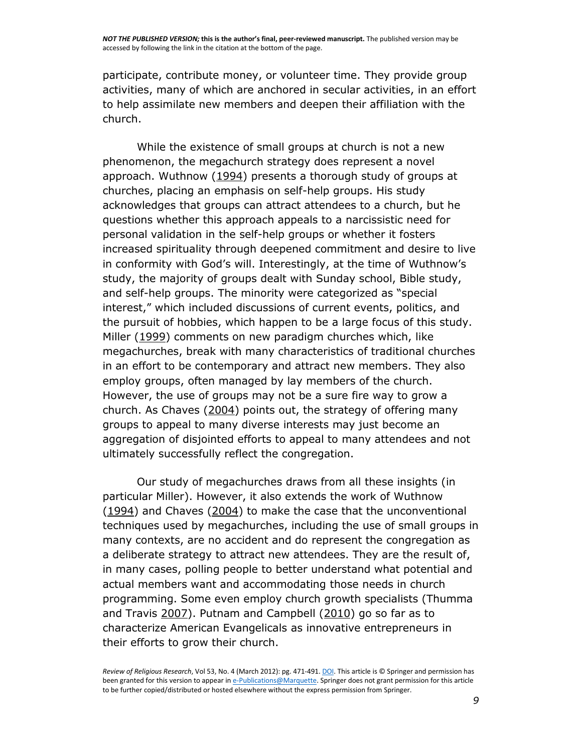participate, contribute money, or volunteer time. They provide group activities, many of which are anchored in secular activities, in an effort to help assimilate new members and deepen their affiliation with the church.

While the existence of small groups at church is not a new phenomenon, the megachurch strategy does represent a novel approach. Wuthnow [\(1994\)](http://link.springer.com/article/10.1007/s13644-011-0024-3/fulltext.html#CR27) presents a thorough study of groups at churches, placing an emphasis on self-help groups. His study acknowledges that groups can attract attendees to a church, but he questions whether this approach appeals to a narcissistic need for personal validation in the self-help groups or whether it fosters increased spirituality through deepened commitment and desire to live in conformity with God's will. Interestingly, at the time of Wuthnow's study, the majority of groups dealt with Sunday school, Bible study, and self-help groups. The minority were categorized as "special interest," which included discussions of current events, politics, and the pursuit of hobbies, which happen to be a large focus of this study. Miller [\(1999\)](http://link.springer.com/article/10.1007/s13644-011-0024-3/fulltext.html#CR15) comments on new paradigm churches which, like megachurches, break with many characteristics of traditional churches in an effort to be contemporary and attract new members. They also employ groups, often managed by lay members of the church. However, the use of groups may not be a sure fire way to grow a church. As Chaves  $(2004)$  points out, the strategy of offering many groups to appeal to many diverse interests may just become an aggregation of disjointed efforts to appeal to many attendees and not ultimately successfully reflect the congregation.

Our study of megachurches draws from all these insights (in particular Miller). However, it also extends the work of Wuthnow [\(1994\)](http://link.springer.com/article/10.1007/s13644-011-0024-3/fulltext.html#CR27) and Chaves [\(2004\)](http://link.springer.com/article/10.1007/s13644-011-0024-3/fulltext.html#CR3) to make the case that the unconventional techniques used by megachurches, including the use of small groups in many contexts, are no accident and do represent the congregation as a deliberate strategy to attract new attendees. They are the result of, in many cases, polling people to better understand what potential and actual members want and accommodating those needs in church programming. Some even employ church growth specialists (Thumma and Travis [2007\)](http://link.springer.com/article/10.1007/s13644-011-0024-3/fulltext.html#CR23). Putnam and Campbell [\(2010\)](http://link.springer.com/article/10.1007/s13644-011-0024-3/fulltext.html#CR16) go so far as to characterize American Evangelicals as innovative entrepreneurs in their efforts to grow their church.

*Review of Religious Research*, Vol 53, No. 4 (March 2012): pg. 471-491[. DOI.](http://dx.doi.org/10.1007/s13644-011-0024-3) This article is © Springer and permission has been granted for this version to appear i[n e-Publications@Marquette.](http://epublications.marquette.edu/) Springer does not grant permission for this article to be further copied/distributed or hosted elsewhere without the express permission from Springer.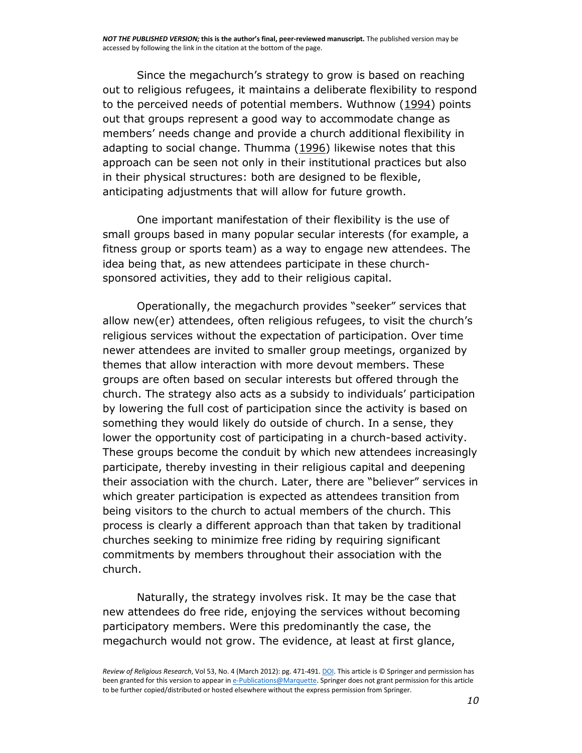Since the megachurch's strategy to grow is based on reaching out to religious refugees, it maintains a deliberate flexibility to respond to the perceived needs of potential members. Wuthnow [\(1994\)](http://link.springer.com/article/10.1007/s13644-011-0024-3/fulltext.html#CR27) points out that groups represent a good way to accommodate change as members' needs change and provide a church additional flexibility in adapting to social change. Thumma [\(1996\)](http://link.springer.com/article/10.1007/s13644-011-0024-3/fulltext.html#CR21) likewise notes that this approach can be seen not only in their institutional practices but also in their physical structures: both are designed to be flexible, anticipating adjustments that will allow for future growth.

One important manifestation of their flexibility is the use of small groups based in many popular secular interests (for example, a fitness group or sports team) as a way to engage new attendees. The idea being that, as new attendees participate in these churchsponsored activities, they add to their religious capital.

Operationally, the megachurch provides "seeker" services that allow new(er) attendees, often religious refugees, to visit the church's religious services without the expectation of participation. Over time newer attendees are invited to smaller group meetings, organized by themes that allow interaction with more devout members. These groups are often based on secular interests but offered through the church. The strategy also acts as a subsidy to individuals' participation by lowering the full cost of participation since the activity is based on something they would likely do outside of church. In a sense, they lower the opportunity cost of participating in a church-based activity. These groups become the conduit by which new attendees increasingly participate, thereby investing in their religious capital and deepening their association with the church. Later, there are "believer" services in which greater participation is expected as attendees transition from being visitors to the church to actual members of the church. This process is clearly a different approach than that taken by traditional churches seeking to minimize free riding by requiring significant commitments by members throughout their association with the church.

Naturally, the strategy involves risk. It may be the case that new attendees do free ride, enjoying the services without becoming participatory members. Were this predominantly the case, the megachurch would not grow. The evidence, at least at first glance,

*Review of Religious Research*, Vol 53, No. 4 (March 2012): pg. 471-491[. DOI.](http://dx.doi.org/10.1007/s13644-011-0024-3) This article is © Springer and permission has been granted for this version to appear i[n e-Publications@Marquette.](http://epublications.marquette.edu/) Springer does not grant permission for this article to be further copied/distributed or hosted elsewhere without the express permission from Springer.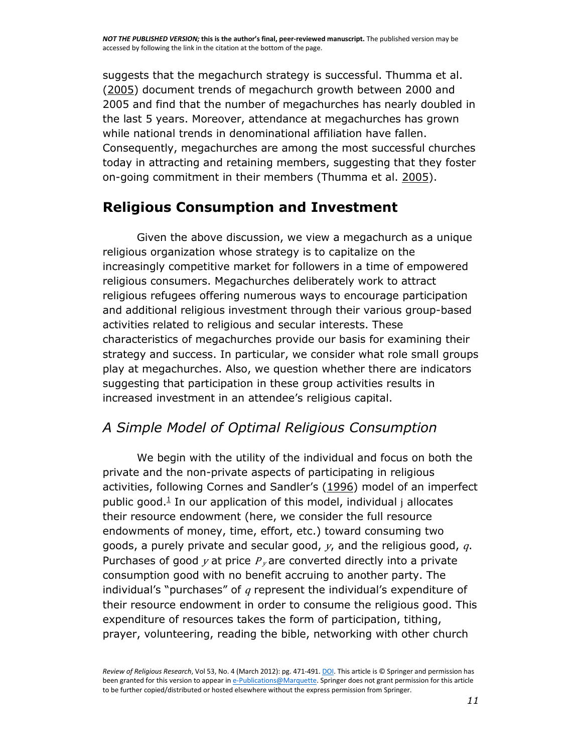suggests that the megachurch strategy is successful. Thumma et al. [\(2005\)](http://link.springer.com/article/10.1007/s13644-011-0024-3/fulltext.html#CR22) document trends of megachurch growth between 2000 and 2005 and find that the number of megachurches has nearly doubled in the last 5 years. Moreover, attendance at megachurches has grown while national trends in denominational affiliation have fallen. Consequently, megachurches are among the most successful churches today in attracting and retaining members, suggesting that they foster on-going commitment in their members (Thumma et al. [2005\)](http://link.springer.com/article/10.1007/s13644-011-0024-3/fulltext.html#CR22).

# **Religious Consumption and Investment**

Given the above discussion, we view a megachurch as a unique religious organization whose strategy is to capitalize on the increasingly competitive market for followers in a time of empowered religious consumers. Megachurches deliberately work to attract religious refugees offering numerous ways to encourage participation and additional religious investment through their various group-based activities related to religious and secular interests. These characteristics of megachurches provide our basis for examining their strategy and success. In particular, we consider what role small groups play at megachurches. Also, we question whether there are indicators suggesting that participation in these group activities results in increased investment in an attendee's religious capital.

# *A Simple Model of Optimal Religious Consumption*

We begin with the utility of the individual and focus on both the private and the non-private aspects of participating in religious activities, following Cornes and Sandler's ([1996\)](http://link.springer.com/article/10.1007/s13644-011-0024-3/fulltext.html#CR6) model of an imperfect public good.<sup>[1](http://link.springer.com/article/10.1007/s13644-011-0024-3/fulltext.html#Fn1)</sup> In our application of this model, individual j allocates their resource endowment (here, we consider the full resource endowments of money, time, effort, etc.) toward consuming two goods, a purely private and secular good,  $v$ , and the religious good,  $q$ . Purchases of good  $y$  at price  $P<sub>y</sub>$  are converted directly into a private consumption good with no benefit accruing to another party. The individual's "purchases" of  $q$  represent the individual's expenditure of their resource endowment in order to consume the religious good. This expenditure of resources takes the form of participation, tithing, prayer, volunteering, reading the bible, networking with other church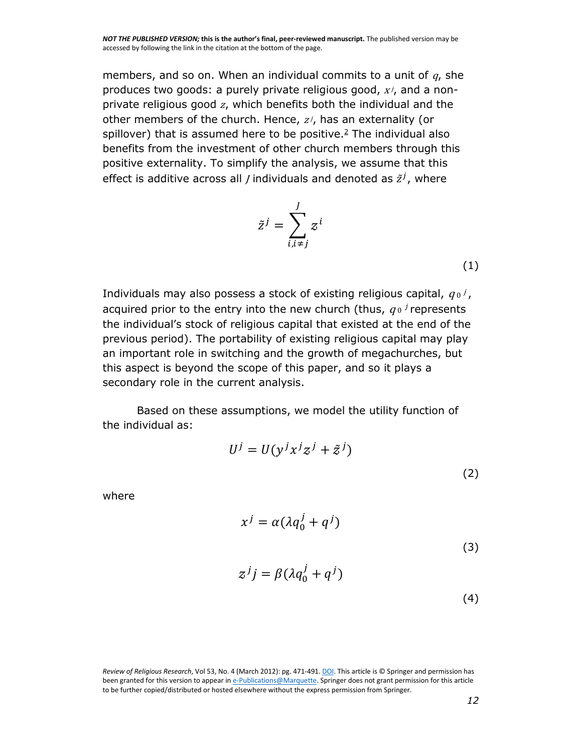members, and so on. When an individual commits to a unit of  $q$ , she produces two goods: a purely private religious good,  $x<sup>j</sup>$ , and a nonprivate religious good  $z$ , which benefits both the individual and the other members of the church. Hence,  $z<sub>j</sub>$ , has an externality (or spillover) that is assumed here to be positive. $2$  The individual also benefits from the investment of other church members through this positive externality. To simplify the analysis, we assume that this effect is additive across all *J* individuals and denoted as  $\tilde{z}^j$ , where

$$
\tilde{z}^j = \sum_{i,i \neq j}^J z^i
$$

(1)

Individuals may also possess a stock of existing religious capital,  $q_0$  , acquired prior to the entry into the new church (thus,  $q_0$ <sup>*j*</sup> represents the individual's stock of religious capital that existed at the end of the previous period). The portability of existing religious capital may play an important role in switching and the growth of megachurches, but this aspect is beyond the scope of this paper, and so it plays a secondary role in the current analysis.

Based on these assumptions, we model the utility function of the individual as:

$$
U^j = U(y^j x^j z^j + \tilde{z}^j)
$$
\n(2)

where

$$
x^{j} = \alpha(\lambda q_{0}^{j} + q^{j})
$$
  

$$
z^{j}j = \beta(\lambda q_{0}^{j} + q^{j})
$$
 (3)

(4)

*Review of Religious Research*, Vol 53, No. 4 (March 2012): pg. 471-491[. DOI.](http://dx.doi.org/10.1007/s13644-011-0024-3) This article is © Springer and permission has been granted for this version to appear i[n e-Publications@Marquette.](http://epublications.marquette.edu/) Springer does not grant permission for this article to be further copied/distributed or hosted elsewhere without the express permission from Springer.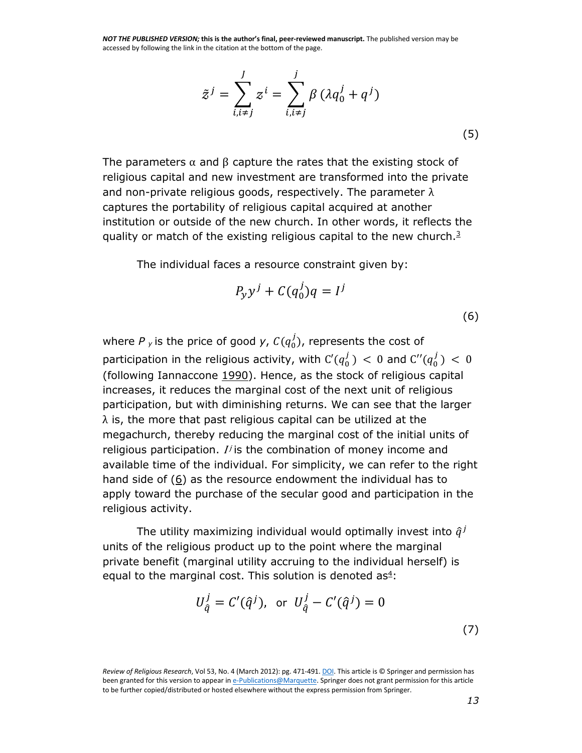$$
\tilde{z}^j = \sum_{i,i \neq j}^J z^i = \sum_{i,i \neq j}^j \beta (\lambda q_0^j + q^j)
$$
\n(5)

The parameters  $\alpha$  and  $\beta$  capture the rates that the existing stock of religious capital and new investment are transformed into the private and non-private religious goods, respectively. The parameter  $\lambda$ captures the portability of religious capital acquired at another institution or outside of the new church. In other words, it reflects the quality or match of the existing religious capital to the new church. $3$ 

The individual faces a resource constraint given by:

$$
P_{\mathcal{Y}}\mathcal{Y}^j + C(q_0^j)q = I^j
$$

(6)

where  $P$   $_{\textstyle\gamma}$  is the price of good  $\textstyle\gamma$ ,  $\mathcal{C}(q_0^j)$ , represents the cost of participation in the religious activity, with  $\mathsf{C}'(q_0^{\,j}\,)\, <\, 0$  and  $\mathsf{C}''(q_0^{\,j}\,)\, <\, 0$ (following Iannaccone [1990\)](http://link.springer.com/article/10.1007/s13644-011-0024-3/fulltext.html#CR8). Hence, as the stock of religious capital increases, it reduces the marginal cost of the next unit of religious participation, but with diminishing returns. We can see that the larger  $\lambda$  is, the more that past religious capital can be utilized at the megachurch, thereby reducing the marginal cost of the initial units of religious participation.  $I<sup>j</sup>$  is the combination of money income and available time of the individual. For simplicity, we can refer to the right hand side of [\(6\)](http://link.springer.com/article/10.1007/s13644-011-0024-3/fulltext.html#Equ6) as the resource endowment the individual has to apply toward the purchase of the secular good and participation in the religious activity.

The utility maximizing individual would optimally invest into  $\widehat{q}^{\,j}$ units of the religious product up to the point where the marginal private benefit (marginal utility accruing to the individual herself) is equal to the marginal cost. This solution is denoted as $4$ :

$$
U_{\hat{q}}^j = C'(\hat{q}^j), \text{ or } U_{\hat{q}}^j - C'(\hat{q}^j) = 0
$$
\n(7)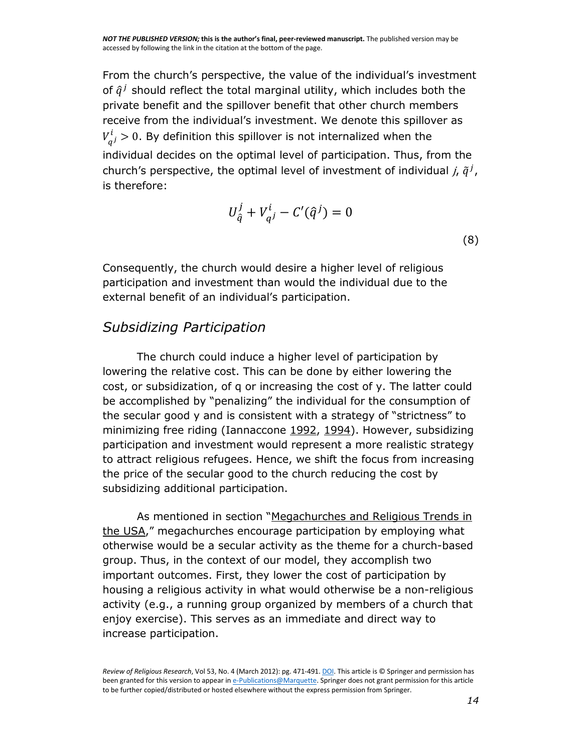From the church's perspective, the value of the individual's investment of  $\hat{q}^j$  should reflect the total marginal utility, which includes both the private benefit and the spillover benefit that other church members receive from the individual's investment. We denote this spillover as  $V^i_{q^j}>0.$  By definition this spillover is not internalized when the individual decides on the optimal level of participation. Thus, from the church's perspective, the optimal level of investment of individual j,  $\tilde{q}^j$ , is therefore:

$$
U_{\hat{q}}^j + V_{q^j}^i - C'(\hat{q}^j) = 0
$$
\n(8)

Consequently, the church would desire a higher level of religious participation and investment than would the individual due to the external benefit of an individual's participation.

### *Subsidizing Participation*

The church could induce a higher level of participation by lowering the relative cost. This can be done by either lowering the cost, or subsidization, of q or increasing the cost of y. The latter could be accomplished by "penalizing" the individual for the consumption of the secular good y and is consistent with a strategy of "strictness" to minimizing free riding (Iannaccone [1992,](http://link.springer.com/article/10.1007/s13644-011-0024-3/fulltext.html#CR9) [1994\)](http://link.springer.com/article/10.1007/s13644-011-0024-3/fulltext.html#CR10). However, subsidizing participation and investment would represent a more realistic strategy to attract religious refugees. Hence, we shift the focus from increasing the price of the secular good to the church reducing the cost by subsidizing additional participation.

As mentioned in section "Megachurches and Religious Trends in [the USA](http://link.springer.com/article/10.1007/s13644-011-0024-3/fulltext.html#Sec2)," megachurches encourage participation by employing what otherwise would be a secular activity as the theme for a church-based group. Thus, in the context of our model, they accomplish two important outcomes. First, they lower the cost of participation by housing a religious activity in what would otherwise be a non-religious activity (e.g., a running group organized by members of a church that enjoy exercise). This serves as an immediate and direct way to increase participation.

*Review of Religious Research*, Vol 53, No. 4 (March 2012): pg. 471-491[. DOI.](http://dx.doi.org/10.1007/s13644-011-0024-3) This article is © Springer and permission has been granted for this version to appear i[n e-Publications@Marquette.](http://epublications.marquette.edu/) Springer does not grant permission for this article to be further copied/distributed or hosted elsewhere without the express permission from Springer.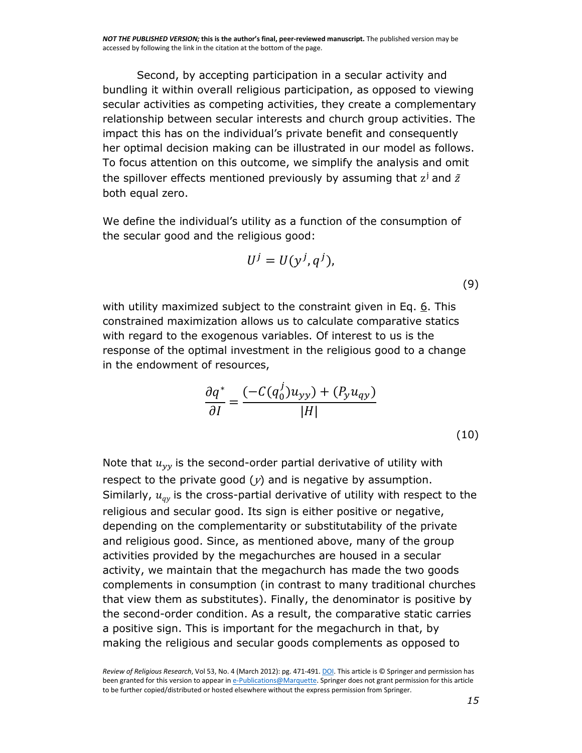Second, by accepting participation in a secular activity and bundling it within overall religious participation, as opposed to viewing secular activities as competing activities, they create a complementary relationship between secular interests and church group activities. The impact this has on the individual's private benefit and consequently her optimal decision making can be illustrated in our model as follows. To focus attention on this outcome, we simplify the analysis and omit the spillover effects mentioned previously by assuming that  $z^j$  and  $\tilde{z}$ both equal zero.

We define the individual's utility as a function of the consumption of the secular good and the religious good:

$$
U^j = U(y^j, q^j),
$$

(9)

with utility maximized subject to the constraint given in Eq.  $6$ . This constrained maximization allows us to calculate comparative statics with regard to the exogenous variables. Of interest to us is the response of the optimal investment in the religious good to a change in the endowment of resources,

$$
\frac{\partial q^*}{\partial I} = \frac{(-C(q_0^j)u_{yy}) + (P_y u_{qy})}{|H|}
$$
\n(10)

Note that  $u_{yy}$  is the second-order partial derivative of utility with respect to the private good  $(y)$  and is negative by assumption. Similarly,  $u_{qy}$  is the cross-partial derivative of utility with respect to the religious and secular good. Its sign is either positive or negative, depending on the complementarity or substitutability of the private and religious good. Since, as mentioned above, many of the group activities provided by the megachurches are housed in a secular activity, we maintain that the megachurch has made the two goods complements in consumption (in contrast to many traditional churches that view them as substitutes). Finally, the denominator is positive by the second-order condition. As a result, the comparative static carries a positive sign. This is important for the megachurch in that, by making the religious and secular goods complements as opposed to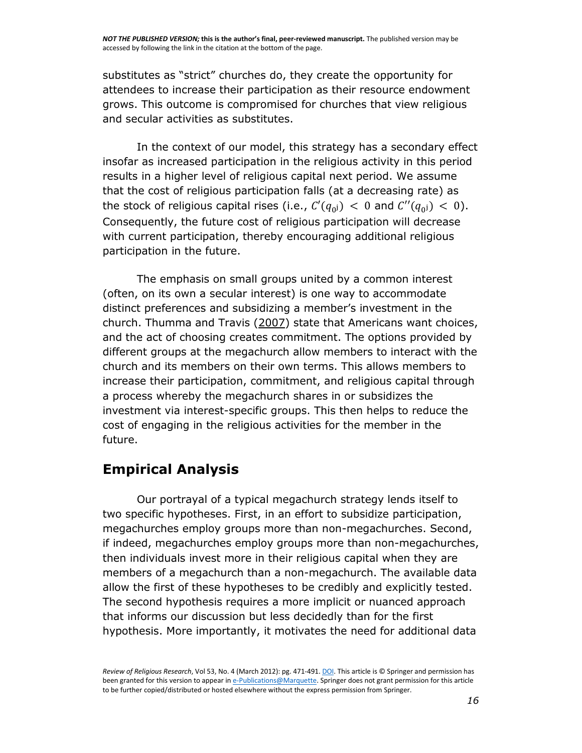substitutes as "strict" churches do, they create the opportunity for attendees to increase their participation as their resource endowment grows. This outcome is compromised for churches that view religious and secular activities as substitutes.

In the context of our model, this strategy has a secondary effect insofar as increased participation in the religious activity in this period results in a higher level of religious capital next period. We assume that the cost of religious participation falls (at a decreasing rate) as the stock of religious capital rises (i.e.,  $\mathcal{C}'(q_{0^j}) < 0$  and  $\mathcal{C}''(q_{0^j}) < 0$ ). Consequently, the future cost of religious participation will decrease with current participation, thereby encouraging additional religious participation in the future.

The emphasis on small groups united by a common interest (often, on its own a secular interest) is one way to accommodate distinct preferences and subsidizing a member's investment in the church. Thumma and Travis [\(2007\)](http://link.springer.com/article/10.1007/s13644-011-0024-3/fulltext.html#CR23) state that Americans want choices, and the act of choosing creates commitment. The options provided by different groups at the megachurch allow members to interact with the church and its members on their own terms. This allows members to increase their participation, commitment, and religious capital through a process whereby the megachurch shares in or subsidizes the investment via interest-specific groups. This then helps to reduce the cost of engaging in the religious activities for the member in the future.

# **Empirical Analysis**

Our portrayal of a typical megachurch strategy lends itself to two specific hypotheses. First, in an effort to subsidize participation, megachurches employ groups more than non-megachurches. Second, if indeed, megachurches employ groups more than non-megachurches, then individuals invest more in their religious capital when they are members of a megachurch than a non-megachurch. The available data allow the first of these hypotheses to be credibly and explicitly tested. The second hypothesis requires a more implicit or nuanced approach that informs our discussion but less decidedly than for the first hypothesis. More importantly, it motivates the need for additional data

*Review of Religious Research*, Vol 53, No. 4 (March 2012): pg. 471-491[. DOI.](http://dx.doi.org/10.1007/s13644-011-0024-3) This article is © Springer and permission has been granted for this version to appear i[n e-Publications@Marquette.](http://epublications.marquette.edu/) Springer does not grant permission for this article to be further copied/distributed or hosted elsewhere without the express permission from Springer.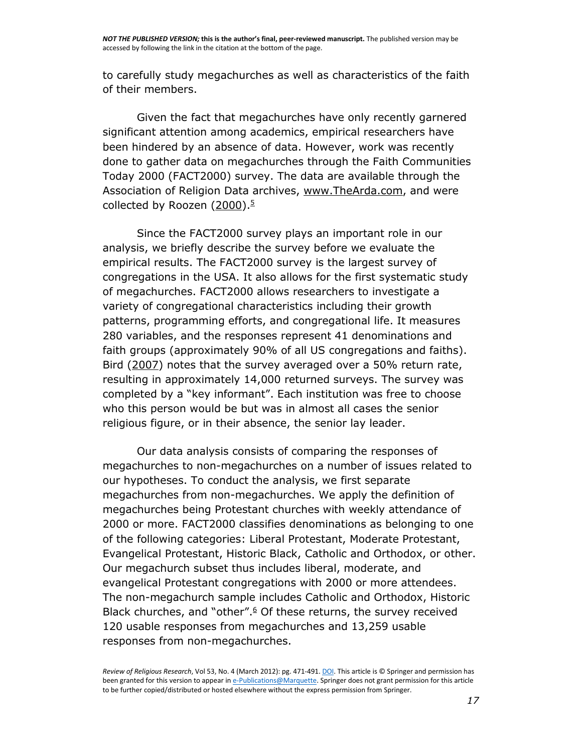to carefully study megachurches as well as characteristics of the faith of their members.

Given the fact that megachurches have only recently garnered significant attention among academics, empirical researchers have been hindered by an absence of data. However, work was recently done to gather data on megachurches through the Faith Communities Today 2000 (FACT2000) survey. The data are available through the Association of Religion Data archives, [www.TheArda.com,](http://www.thearda.com/) and were collected by Roozen [\(2000\)](http://link.springer.com/article/10.1007/s13644-011-0024-3/fulltext.html#CR17). $5$ 

Since the FACT2000 survey plays an important role in our analysis, we briefly describe the survey before we evaluate the empirical results. The FACT2000 survey is the largest survey of congregations in the USA. It also allows for the first systematic study of megachurches. FACT2000 allows researchers to investigate a variety of congregational characteristics including their growth patterns, programming efforts, and congregational life. It measures 280 variables, and the responses represent 41 denominations and faith groups (approximately 90% of all US congregations and faiths). Bird [\(2007\)](http://link.springer.com/article/10.1007/s13644-011-0024-3/fulltext.html#CR1) notes that the survey averaged over a 50% return rate, resulting in approximately 14,000 returned surveys. The survey was completed by a "key informant". Each institution was free to choose who this person would be but was in almost all cases the senior religious figure, or in their absence, the senior lay leader.

Our data analysis consists of comparing the responses of megachurches to non-megachurches on a number of issues related to our hypotheses. To conduct the analysis, we first separate megachurches from non-megachurches. We apply the definition of megachurches being Protestant churches with weekly attendance of 2000 or more. FACT2000 classifies denominations as belonging to one of the following categories: Liberal Protestant, Moderate Protestant, Evangelical Protestant, Historic Black, Catholic and Orthodox, or other. Our megachurch subset thus includes liberal, moderate, and evangelical Protestant congregations with 2000 or more attendees. The non-megachurch sample includes Catholic and Orthodox, Historic Black churches, and "other". $6$  Of these returns, the survey received 120 usable responses from megachurches and 13,259 usable responses from non-megachurches.

*Review of Religious Research*, Vol 53, No. 4 (March 2012): pg. 471-491[. DOI.](http://dx.doi.org/10.1007/s13644-011-0024-3) This article is © Springer and permission has been granted for this version to appear i[n e-Publications@Marquette.](http://epublications.marquette.edu/) Springer does not grant permission for this article to be further copied/distributed or hosted elsewhere without the express permission from Springer.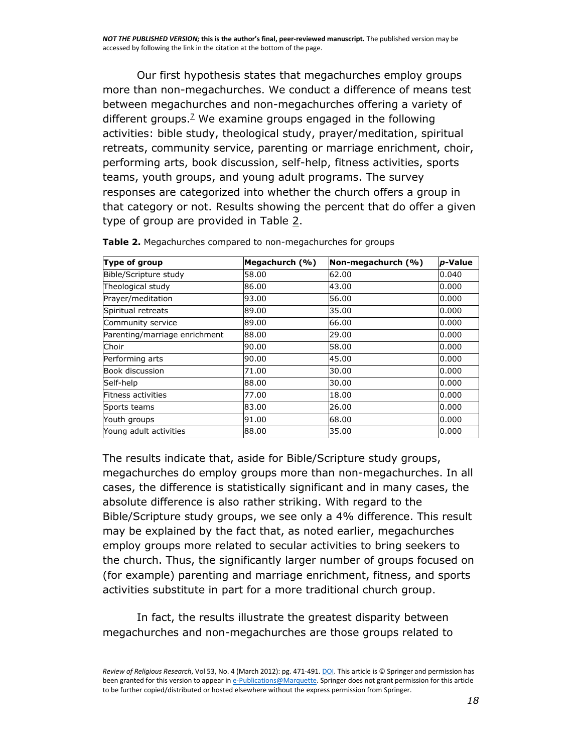Our first hypothesis states that megachurches employ groups more than non-megachurches. We conduct a difference of means test between megachurches and non-megachurches offering a variety of different groups.<sup> $2$ </sup> We examine groups engaged in the following activities: bible study, theological study, prayer/meditation, spiritual retreats, community service, parenting or marriage enrichment, choir, performing arts, book discussion, self-help, fitness activities, sports teams, youth groups, and young adult programs. The survey responses are categorized into whether the church offers a group in that category or not. Results showing the percent that do offer a given type of group are provided in Table  $2$ .

| Type of group                 | Megachurch (%) | Non-megachurch (%) | p-Value |
|-------------------------------|----------------|--------------------|---------|
| Bible/Scripture study         | 58.00          | 62.00              | 0.040   |
| Theological study             | 86.00          | 43.00              | 0.000   |
| Prayer/meditation             | 93.00          | 56.00              | 0.000   |
| Spiritual retreats            | 89.00          | 35.00              | 0.000   |
| Community service             | 89.00          | 66.00              | 0.000   |
| Parenting/marriage enrichment | 88.00          | 29.00              | 0.000   |
| Choir                         | 90.00          | 58.00              | 0.000   |
| Performing arts               | 90.00          | 45.00              | 0.000   |
| Book discussion               | 71.00          | 30.00              | 0.000   |
| Self-help                     | 88.00          | 30.00              | 0.000   |
| Fitness activities            | 77.00          | 18.00              | 0.000   |
| Sports teams                  | 83.00          | 26.00              | 0.000   |
| Youth groups                  | 91.00          | 68.00              | 0.000   |
| Young adult activities        | 88.00          | 35.00              | 0.000   |

**Table 2.** Megachurches compared to non-megachurches for groups

The results indicate that, aside for Bible/Scripture study groups, megachurches do employ groups more than non-megachurches. In all cases, the difference is statistically significant and in many cases, the absolute difference is also rather striking. With regard to the Bible/Scripture study groups, we see only a 4% difference. This result may be explained by the fact that, as noted earlier, megachurches employ groups more related to secular activities to bring seekers to the church. Thus, the significantly larger number of groups focused on (for example) parenting and marriage enrichment, fitness, and sports activities substitute in part for a more traditional church group.

In fact, the results illustrate the greatest disparity between megachurches and non-megachurches are those groups related to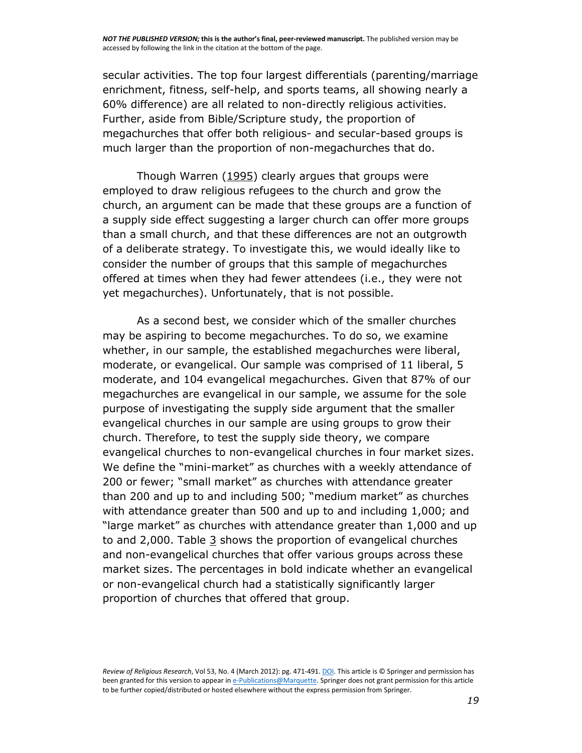secular activities. The top four largest differentials (parenting/marriage enrichment, fitness, self-help, and sports teams, all showing nearly a 60% difference) are all related to non-directly religious activities. Further, aside from Bible/Scripture study, the proportion of megachurches that offer both religious- and secular-based groups is much larger than the proportion of non-megachurches that do.

Though Warren [\(1995\)](http://link.springer.com/article/10.1007/s13644-011-0024-3/fulltext.html#CR24) clearly argues that groups were employed to draw religious refugees to the church and grow the church, an argument can be made that these groups are a function of a supply side effect suggesting a larger church can offer more groups than a small church, and that these differences are not an outgrowth of a deliberate strategy. To investigate this, we would ideally like to consider the number of groups that this sample of megachurches offered at times when they had fewer attendees (i.e., they were not yet megachurches). Unfortunately, that is not possible.

As a second best, we consider which of the smaller churches may be aspiring to become megachurches. To do so, we examine whether, in our sample, the established megachurches were liberal, moderate, or evangelical. Our sample was comprised of 11 liberal, 5 moderate, and 104 evangelical megachurches. Given that 87% of our megachurches are evangelical in our sample, we assume for the sole purpose of investigating the supply side argument that the smaller evangelical churches in our sample are using groups to grow their church. Therefore, to test the supply side theory, we compare evangelical churches to non-evangelical churches in four market sizes. We define the "mini-market" as churches with a weekly attendance of 200 or fewer; "small market" as churches with attendance greater than 200 and up to and including 500; "medium market" as churches with attendance greater than 500 and up to and including 1,000; and "large market" as churches with attendance greater than 1,000 and up to and 2,000. Table [3](http://link.springer.com/article/10.1007/s13644-011-0024-3/fulltext.html#Tab3) shows the proportion of evangelical churches and non-evangelical churches that offer various groups across these market sizes. The percentages in bold indicate whether an evangelical or non-evangelical church had a statistically significantly larger proportion of churches that offered that group.

*Review of Religious Research*, Vol 53, No. 4 (March 2012): pg. 471-491[. DOI.](http://dx.doi.org/10.1007/s13644-011-0024-3) This article is © Springer and permission has been granted for this version to appear i[n e-Publications@Marquette.](http://epublications.marquette.edu/) Springer does not grant permission for this article to be further copied/distributed or hosted elsewhere without the express permission from Springer.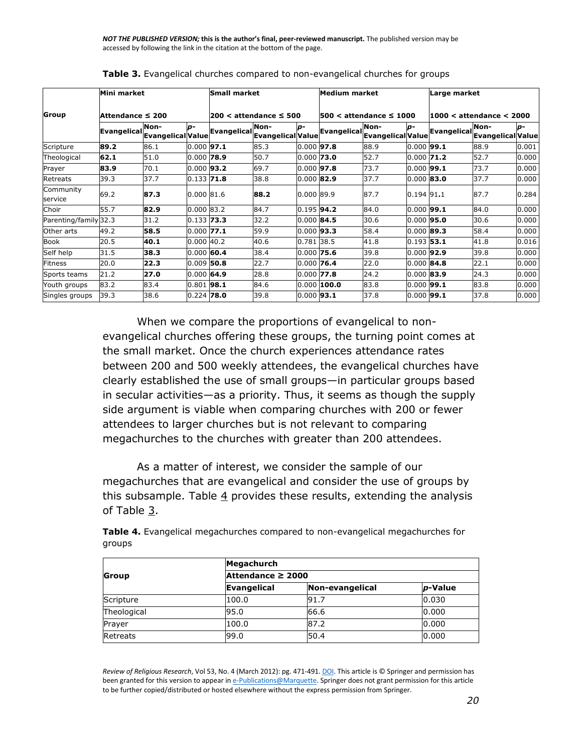|                                | Mini market |                                  |                               | <b>Small market</b>      |                                  |              | Medium market            |                                  |              | Large market                  |      |       |
|--------------------------------|-------------|----------------------------------|-------------------------------|--------------------------|----------------------------------|--------------|--------------------------|----------------------------------|--------------|-------------------------------|------|-------|
| Group<br>Attendance $\leq 200$ |             |                                  | $200 <$ attendance $\leq 500$ |                          | $500 <$ attendance $\leq 1000$   |              | 1000 < attendance < 2000 |                                  |              |                               |      |       |
|                                | Evangelical | Non-<br><b>Evangelical Value</b> | $D-$                          | Evangelical <sup>'</sup> | Non-<br><b>Evangelical Value</b> | $n-$         | Evangelical              | Non-<br><b>Evangelical Value</b> | $n-$         | Evangelical Evangelical Value | Non- | D-    |
| Scripture                      | 89.2        | 86.1                             | $0.000$ 97.1                  |                          | 85.3                             | $0.000$ 97.8 |                          | 88.9                             | $0.000$ 99.1 |                               | 88.9 | 0.001 |
| Theological                    | 62.1        | 51.0                             | $0.000$ 78.9                  |                          | 50.7                             | $0.000$ 73.0 |                          | 52.7                             | 0.000 71.2   |                               | 52.7 | 0.000 |
| Prayer                         | 83.9        | 70.1                             | $0.000$ 93.2                  |                          | 69.7                             | $0.000$ 97.8 |                          | 73.7                             | $0.000$ 99.1 |                               | 73.7 | 0.000 |
| Retreats                       | 39.3        | 37.7                             | $0.133$ 71.8                  |                          | 38.8                             | 0.000 82.9   |                          | 37.7                             | $0.000$ 83.0 |                               | 37.7 | 0.000 |
| Community<br>service           | 69.2        | 87.3                             | 0.000 81.6                    |                          | 88.2                             | 0.000 89.9   |                          | 87.7                             | 0.194 91.1   |                               | 87.7 | 0.284 |
| Choir                          | 55.7        | 82.9                             | $0.000$ 83.2                  |                          | 84.7                             | $0.195$ 94.2 |                          | 84.0                             | $0.000$ 99.1 |                               | 84.0 | 0.000 |
| Parenting/family 32.3          |             | 31.2                             | $0.133$ 73.3                  |                          | 32.2                             | $0.000$ 84.5 |                          | 30.6                             | $0.000$ 95.0 |                               | 30.6 | 0.000 |
| Other arts                     | 49.2        | 58.5                             | $0.000$ 77.1                  |                          | 59.9                             | $0.000$ 93.3 |                          | 58.4                             | $0.000$ 89.3 |                               | 58.4 | 0.000 |
| Book                           | 20.5        | 40.1                             | $0.000$ 40.2                  |                          | 40.6                             | 0.781        | 38.5                     | 41.8                             | $0.193$ 53.1 |                               | 41.8 | 0.016 |
| Self help                      | 31.5        | 38.3                             | $0.000$ 60.4                  |                          | 38.4                             | $0.000$ 75.6 |                          | 39.8                             | $0.000$ 92.9 |                               | 39.8 | 0.000 |
| Fitness                        | 20.0        | 22.3                             | $0.009$ 50.8                  |                          | 22.7                             | $0.000$ 76.4 |                          | 22.0                             | $0.000$ 84.8 |                               | 22.1 | 0.000 |
| Sports teams                   | 21.2        | 27.0                             | $0.000$ 64.9                  |                          | 28.8                             | $0.000$ 77.8 |                          | 24.2                             | $0.000$ 83.9 |                               | 24.3 | 0.000 |
| Youth groups                   | 83.2        | 83.4                             | $0.801$ 98.1                  |                          | 84.6                             |              | $0.000$ 100.0            | 83.8                             | $0.000$ 99.1 |                               | 83.8 | 0.000 |
| Singles groups                 | 39.3        | 38.6                             | $0.224$ 78.0                  |                          | 39.8                             | $0.000$ 93.1 |                          | 37.8                             | $0.000$ 99.1 |                               | 37.8 | 0.000 |

**Table 3.** Evangelical churches compared to non-evangelical churches for groups

When we compare the proportions of evangelical to nonevangelical churches offering these groups, the turning point comes at the small market. Once the church experiences attendance rates between 200 and 500 weekly attendees, the evangelical churches have clearly established the use of small groups—in particular groups based in secular activities—as a priority. Thus, it seems as though the supply side argument is viable when comparing churches with 200 or fewer attendees to larger churches but is not relevant to comparing megachurches to the churches with greater than 200 attendees.

As a matter of interest, we consider the sample of our megachurches that are evangelical and consider the use of groups by this subsample. Table  $\frac{4}{5}$  $\frac{4}{5}$  $\frac{4}{5}$  provides these results, extending the analysis of Table [3.](http://link.springer.com/article/10.1007/s13644-011-0024-3/fulltext.html#Tab3)

**Table 4.** Evangelical megachurches compared to non-evangelical megachurches for groups

|             | Megachurch<br>Attendance $\geq 2000$ |                 |                 |  |  |  |
|-------------|--------------------------------------|-----------------|-----------------|--|--|--|
| Group       |                                      |                 |                 |  |  |  |
|             | Evangelical                          | Non-evangelical | <i>p</i> -Value |  |  |  |
| Scripture   | 100.0                                | 91.7            | 0.030           |  |  |  |
| Theological | 95.0                                 | 66.6            | 0.000           |  |  |  |
| Prayer      | 100.0                                | 87.2            | 0.000           |  |  |  |
| Retreats    | 99.0                                 | 50.4            | 0.000           |  |  |  |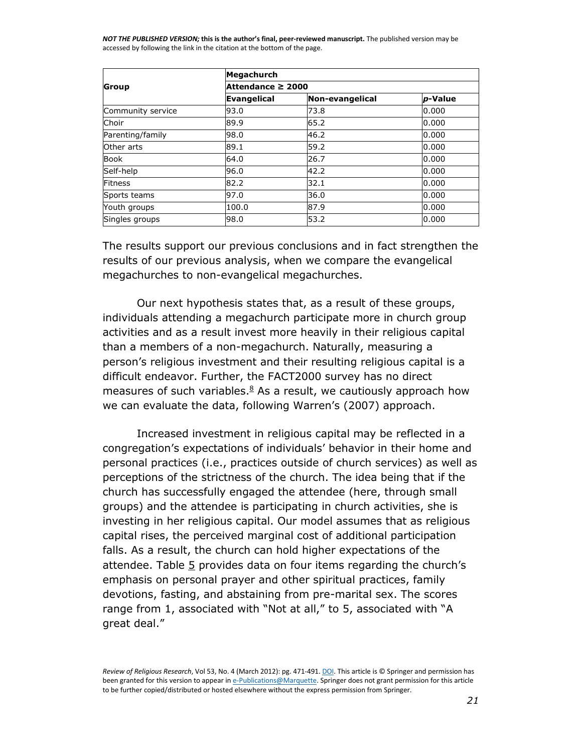|                   | Megachurch<br>Attendance $\geq 2000$ |                 |         |  |  |  |
|-------------------|--------------------------------------|-----------------|---------|--|--|--|
| Group             |                                      |                 |         |  |  |  |
|                   | Evangelical                          | Non-evangelical | p-Value |  |  |  |
| Community service | 93.0                                 | 73.8            | 0.000   |  |  |  |
| Choir             | 89.9                                 | 65.2            | 0.000   |  |  |  |
| Parenting/family  | 98.0                                 | 46.2            | 0.000   |  |  |  |
| Other arts        | 89.1                                 | 59.2            | 0.000   |  |  |  |
| <b>Book</b>       | 64.0                                 | 26.7            | 0.000   |  |  |  |
| Self-help         | 96.0                                 | 42.2            | 0.000   |  |  |  |
| <b>Fitness</b>    | 82.2                                 | 32.1            | 0.000   |  |  |  |
| Sports teams      | 97.0                                 | 36.0            | 0.000   |  |  |  |
| Youth groups      | 100.0                                | 87.9            | 0.000   |  |  |  |
| Singles groups    | 98.0                                 | 53.2            | 0.000   |  |  |  |

The results support our previous conclusions and in fact strengthen the results of our previous analysis, when we compare the evangelical megachurches to non-evangelical megachurches.

Our next hypothesis states that, as a result of these groups, individuals attending a megachurch participate more in church group activities and as a result invest more heavily in their religious capital than a members of a non-megachurch. Naturally, measuring a person's religious investment and their resulting religious capital is a difficult endeavor. Further, the FACT2000 survey has no direct measures of such variables. $8$  As a result, we cautiously approach how we can evaluate the data, following Warren's (2007) approach.

Increased investment in religious capital may be reflected in a congregation's expectations of individuals' behavior in their home and personal practices (i.e., practices outside of church services) as well as perceptions of the strictness of the church. The idea being that if the church has successfully engaged the attendee (here, through small groups) and the attendee is participating in church activities, she is investing in her religious capital. Our model assumes that as religious capital rises, the perceived marginal cost of additional participation falls. As a result, the church can hold higher expectations of the attendee. Table [5](http://link.springer.com/article/10.1007/s13644-011-0024-3/fulltext.html#Tab5) provides data on four items regarding the church's emphasis on personal prayer and other spiritual practices, family devotions, fasting, and abstaining from pre-marital sex. The scores range from 1, associated with "Not at all," to 5, associated with "A great deal."

*Review of Religious Research*, Vol 53, No. 4 (March 2012): pg. 471-491[. DOI.](http://dx.doi.org/10.1007/s13644-011-0024-3) This article is © Springer and permission has been granted for this version to appear i[n e-Publications@Marquette.](http://epublications.marquette.edu/) Springer does not grant permission for this article to be further copied/distributed or hosted elsewhere without the express permission from Springer.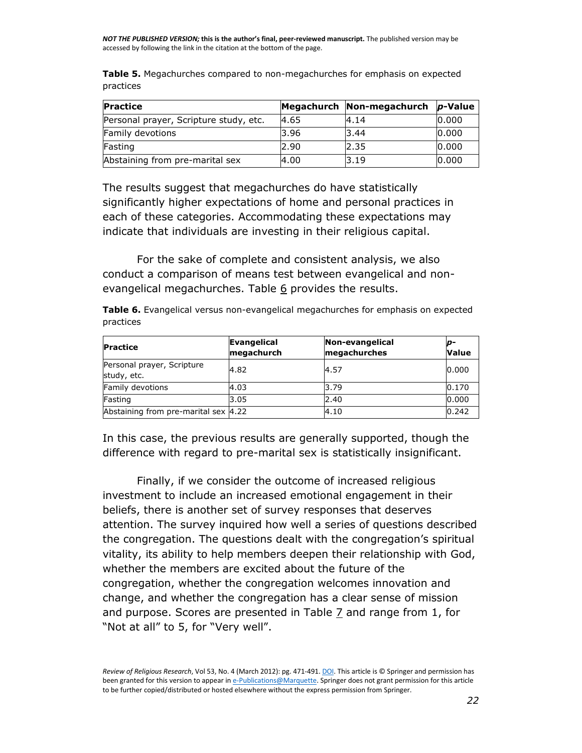**Table 5.** Megachurches compared to non-megachurches for emphasis on expected practices

| <b>Practice</b>                        |      | Megachurch Non-megachurch | b-Value |
|----------------------------------------|------|---------------------------|---------|
| Personal prayer, Scripture study, etc. | 4.65 | 4.14                      | 0.000   |
| Family devotions                       | 3.96 | 3.44                      | 0.000   |
| Fasting                                | 2.90 | 12.35                     | 0.000   |
| Abstaining from pre-marital sex        | 4.00 | 3.19                      | 0.000   |

The results suggest that megachurches do have statistically significantly higher expectations of home and personal practices in each of these categories. Accommodating these expectations may indicate that individuals are investing in their religious capital.

For the sake of complete and consistent analysis, we also conduct a comparison of means test between evangelical and nonevangelical megachurches. Table  $6$  provides the results.

**Table 6.** Evangelical versus non-evangelical megachurches for emphasis on expected practices

| <b>Practice</b>                           | Evangelical<br>megachurch | Non-evangelical<br>megachurches | p-<br><b>Value</b> |
|-------------------------------------------|---------------------------|---------------------------------|--------------------|
| Personal prayer, Scripture<br>study, etc. | 4.82                      | 4.57                            | 0.000              |
| Family devotions                          | 4.03                      | 3.79                            | 0.170              |
| Fasting                                   | 3.05                      | 2.40                            | 0.000              |
| Abstaining from pre-marital sex 4.22      |                           | 4.10                            | 0.242              |

In this case, the previous results are generally supported, though the difference with regard to pre-marital sex is statistically insignificant.

Finally, if we consider the outcome of increased religious investment to include an increased emotional engagement in their beliefs, there is another set of survey responses that deserves attention. The survey inquired how well a series of questions described the congregation. The questions dealt with the congregation's spiritual vitality, its ability to help members deepen their relationship with God, whether the members are excited about the future of the congregation, whether the congregation welcomes innovation and change, and whether the congregation has a clear sense of mission and purpose. Scores are presented in Table [7](http://link.springer.com/article/10.1007/s13644-011-0024-3/fulltext.html#Tab7) and range from 1, for "Not at all" to 5, for "Very well".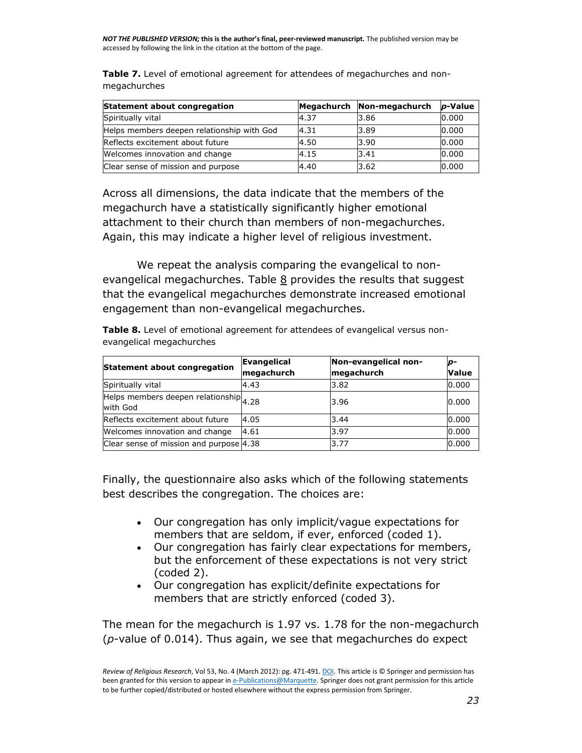**Table 7.** Level of emotional agreement for attendees of megachurches and nonmegachurches

| Statement about congregation               |      | Megachurch Non-megachurch | $p$ -Value |
|--------------------------------------------|------|---------------------------|------------|
| Spiritually vital                          | 4.37 | 3.86                      | 0.000      |
| Helps members deepen relationship with God | 4.31 | 3.89                      | 0.000      |
| Reflects excitement about future           | 4.50 | 3.90                      | 0.000      |
| Welcomes innovation and change             | 4.15 | 3.41                      | 0.000      |
| Clear sense of mission and purpose         | 4.40 | 3.62                      | 0.000      |

Across all dimensions, the data indicate that the members of the megachurch have a statistically significantly higher emotional attachment to their church than members of non-megachurches. Again, this may indicate a higher level of religious investment.

We repeat the analysis comparing the evangelical to nonevangelical megachurches. Table  $8$  provides the results that suggest that the evangelical megachurches demonstrate increased emotional engagement than non-evangelical megachurches.

**Table 8.** Level of emotional agreement for attendees of evangelical versus nonevangelical megachurches

|                                                    | Evangelical | Non-evangelical non- | D-           |
|----------------------------------------------------|-------------|----------------------|--------------|
| Statement about congregation                       | megachurch  | megachurch           | <b>Value</b> |
| Spiritually vital                                  | 4.43        | 3.82                 | 0.000        |
| Helps members deepen relationship 4.28<br>with God |             | 3.96                 | 0.000        |
| Reflects excitement about future                   | 4.05        | 3.44                 | 0.000        |
| Welcomes innovation and change                     | 4.61        | 3.97                 | 0.000        |
| Clear sense of mission and purpose 4.38            |             | 3.77                 | 0.000        |

Finally, the questionnaire also asks which of the following statements best describes the congregation. The choices are:

- Our congregation has only implicit/vague expectations for members that are seldom, if ever, enforced (coded 1).
- Our congregation has fairly clear expectations for members, but the enforcement of these expectations is not very strict (coded 2).
- Our congregation has explicit/definite expectations for members that are strictly enforced (coded 3).

The mean for the megachurch is 1.97 vs. 1.78 for the non-megachurch (*p*-value of 0.014). Thus again, we see that megachurches do expect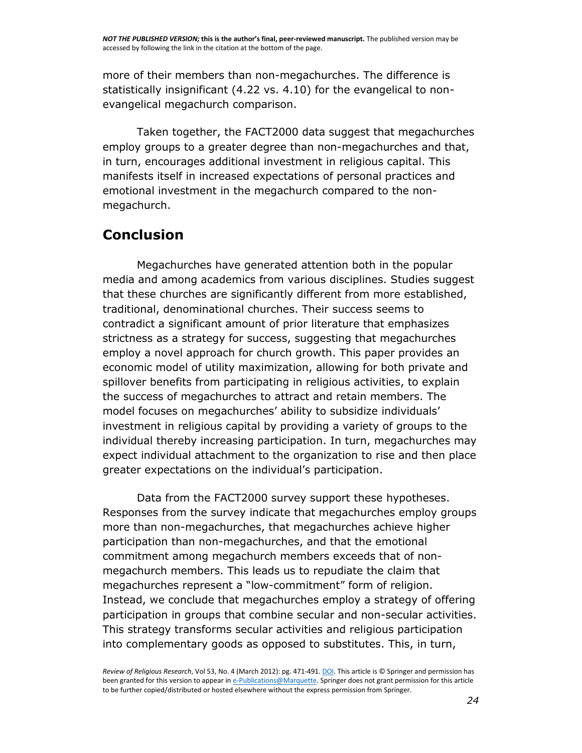more of their members than non-megachurches. The difference is statistically insignificant (4.22 vs. 4.10) for the evangelical to nonevangelical megachurch comparison.

Taken together, the FACT2000 data suggest that megachurches employ groups to a greater degree than non-megachurches and that, in turn, encourages additional investment in religious capital. This manifests itself in increased expectations of personal practices and emotional investment in the megachurch compared to the nonmegachurch.

# **Conclusion**

Megachurches have generated attention both in the popular media and among academics from various disciplines. Studies suggest that these churches are significantly different from more established, traditional, denominational churches. Their success seems to contradict a significant amount of prior literature that emphasizes strictness as a strategy for success, suggesting that megachurches employ a novel approach for church growth. This paper provides an economic model of utility maximization, allowing for both private and spillover benefits from participating in religious activities, to explain the success of megachurches to attract and retain members. The model focuses on megachurches' ability to subsidize individuals' investment in religious capital by providing a variety of groups to the individual thereby increasing participation. In turn, megachurches may expect individual attachment to the organization to rise and then place greater expectations on the individual's participation.

Data from the FACT2000 survey support these hypotheses. Responses from the survey indicate that megachurches employ groups more than non-megachurches, that megachurches achieve higher participation than non-megachurches, and that the emotional commitment among megachurch members exceeds that of nonmegachurch members. This leads us to repudiate the claim that megachurches represent a "low-commitment" form of religion. Instead, we conclude that megachurches employ a strategy of offering participation in groups that combine secular and non-secular activities. This strategy transforms secular activities and religious participation into complementary goods as opposed to substitutes. This, in turn,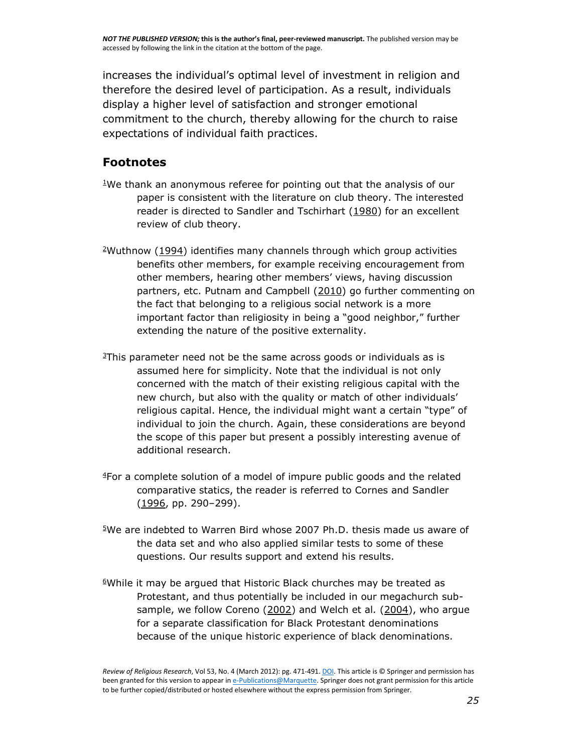increases the individual's optimal level of investment in religion and therefore the desired level of participation. As a result, individuals display a higher level of satisfaction and stronger emotional commitment to the church, thereby allowing for the church to raise expectations of individual faith practices.

#### **Footnotes**

- $1$ We thank an anonymous referee for pointing out that the analysis of our paper is consistent with the literature on club theory. The interested reader is directed to Sandler and Tschirhart [\(1980\)](http://link.springer.com/article/10.1007/s13644-011-0024-3/fulltext.html#CR18) for an excellent review of club theory.
- $2$ Wuthnow [\(1994\)](http://link.springer.com/article/10.1007/s13644-011-0024-3/fulltext.html#CR27) identifies many channels through which group activities benefits other members, for example receiving encouragement from other members, hearing other members' views, having discussion partners, etc. Putnam and Campbell [\(2010\)](http://link.springer.com/article/10.1007/s13644-011-0024-3/fulltext.html#CR16) go further commenting on the fact that belonging to a religious social network is a more important factor than religiosity in being a "good neighbor," further extending the nature of the positive externality.
- [3](http://link.springer.com/article/10.1007/s13644-011-0024-3/fulltext.html#Fn3_source)This parameter need not be the same across goods or individuals as is assumed here for simplicity. Note that the individual is not only concerned with the match of their existing religious capital with the new church, but also with the quality or match of other individuals' religious capital. Hence, the individual might want a certain "type" of individual to join the church. Again, these considerations are beyond the scope of this paper but present a possibly interesting avenue of additional research.
- $4$ For a complete solution of a model of impure public goods and the related comparative statics, the reader is referred to Cornes and Sandler [\(1996,](http://link.springer.com/article/10.1007/s13644-011-0024-3/fulltext.html#CR6) pp. 290–299).
- $5$ We are indebted to Warren Bird whose 2007 Ph.D. thesis made us aware of the data set and who also applied similar tests to some of these questions. Our results support and extend his results.
- $6$ While it may be argued that Historic Black churches may be treated as Protestant, and thus potentially be included in our megachurch subsample, we follow Coreno [\(2002\)](http://link.springer.com/article/10.1007/s13644-011-0024-3/fulltext.html#CR5) and Welch et al*.* [\(2004\)](http://link.springer.com/article/10.1007/s13644-011-0024-3/fulltext.html#CR25), who argue for a separate classification for Black Protestant denominations because of the unique historic experience of black denominations.

*Review of Religious Research*, Vol 53, No. 4 (March 2012): pg. 471-491[. DOI.](http://dx.doi.org/10.1007/s13644-011-0024-3) This article is © Springer and permission has been granted for this version to appear i[n e-Publications@Marquette.](http://epublications.marquette.edu/) Springer does not grant permission for this article to be further copied/distributed or hosted elsewhere without the express permission from Springer.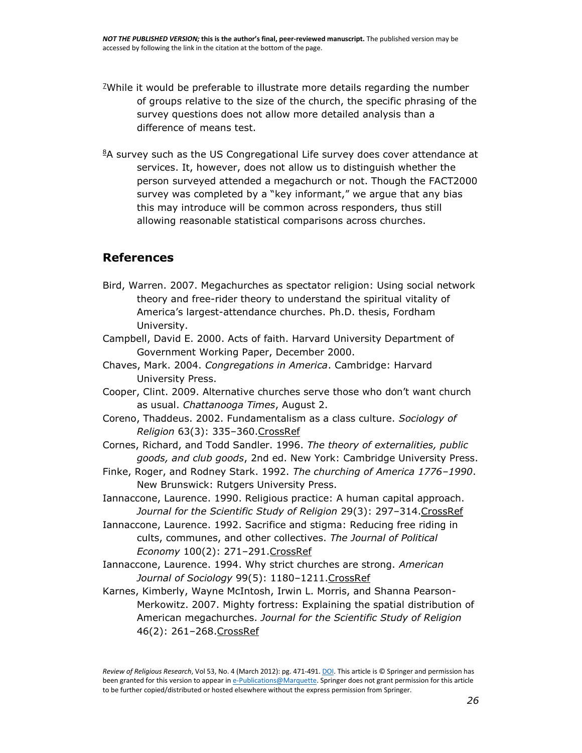- <sup>2</sup>While it would be preferable to illustrate more details regarding the number of groups relative to the size of the church, the specific phrasing of the survey questions does not allow more detailed analysis than a difference of means test.
- $8A$  $8A$  survey such as the US Congregational Life survey does cover attendance at services. It, however, does not allow us to distinguish whether the person surveyed attended a megachurch or not. Though the FACT2000 survey was completed by a "key informant," we arque that any bias this may introduce will be common across responders, thus still allowing reasonable statistical comparisons across churches.

#### **References**

- Bird, Warren. 2007. Megachurches as spectator religion: Using social network theory and free-rider theory to understand the spiritual vitality of America's largest-attendance churches. Ph.D. thesis, Fordham University.
- Campbell, David E. 2000. Acts of faith. Harvard University Department of Government Working Paper, December 2000.
- Chaves, Mark. 2004. *Congregations in America*. Cambridge: Harvard University Press.
- Cooper, Clint. 2009. Alternative churches serve those who don't want church as usual. *Chattanooga Times*, August 2.
- Coreno, Thaddeus. 2002. Fundamentalism as a class culture. *Sociology of Religion* 63(3): 335–360[.CrossRef](http://dx.doi.org/10.2307/3712473)
- Cornes, Richard, and Todd Sandler. 1996. *The theory of externalities, public goods, and club goods*, 2nd ed. New York: Cambridge University Press.
- Finke, Roger, and Rodney Stark. 1992. *The churching of America 1776–1990*. New Brunswick: Rutgers University Press.
- Iannaccone, Laurence. 1990. Religious practice: A human capital approach. *Journal for the Scientific Study of Religion* 29(3): 297–314[.CrossRef](http://dx.doi.org/10.2307/1386460)
- Iannaccone, Laurence. 1992. Sacrifice and stigma: Reducing free riding in cults, communes, and other collectives. *The Journal of Political Economy* 100(2): 271–291[.CrossRef](http://dx.doi.org/10.1086/261818)
- Iannaccone, Laurence. 1994. Why strict churches are strong. *American* Journal of Sociology 99(5): 1180-1211. CrossRef
- Karnes, Kimberly, Wayne McIntosh, Irwin L. Morris, and Shanna Pearson-Merkowitz. 2007. Mighty fortress: Explaining the spatial distribution of American megachurches. *Journal for the Scientific Study of Religion* 46(2): 261–268[.CrossRef](http://dx.doi.org/10.1111/j.1468-5906.2007.00355.x)

*Review of Religious Research*, Vol 53, No. 4 (March 2012): pg. 471-491[. DOI.](http://dx.doi.org/10.1007/s13644-011-0024-3) This article is © Springer and permission has been granted for this version to appear i[n e-Publications@Marquette.](http://epublications.marquette.edu/) Springer does not grant permission for this article to be further copied/distributed or hosted elsewhere without the express permission from Springer.